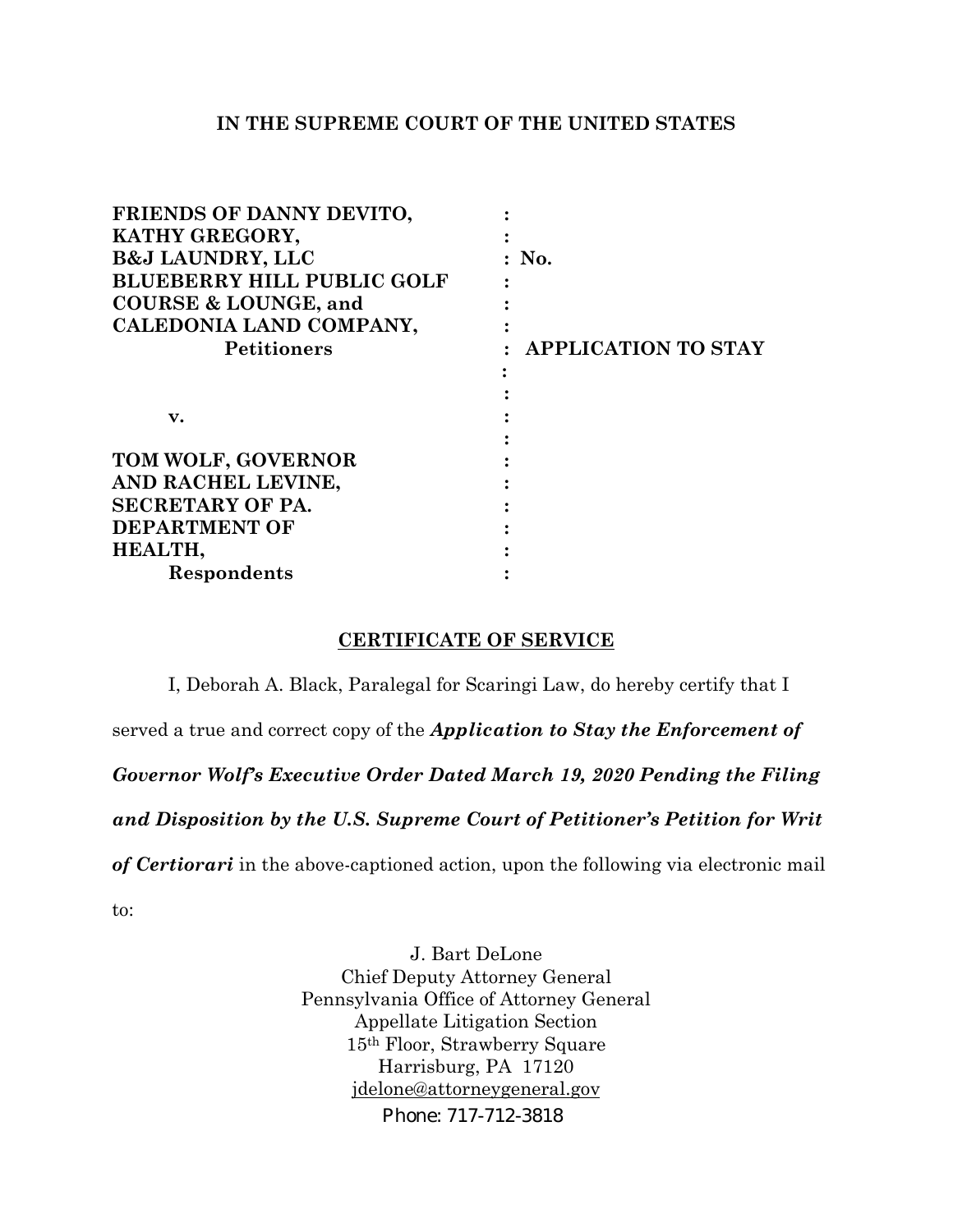## **IN THE SUPREME COURT OF THE UNITED STATES**

| FRIENDS OF DANNY DEVITO,          |                            |
|-----------------------------------|----------------------------|
| KATHY GREGORY,                    |                            |
| <b>B&amp;J LAUNDRY, LLC</b>       | $:$ No.                    |
| <b>BLUEBERRY HILL PUBLIC GOLF</b> |                            |
| <b>COURSE &amp; LOUNGE, and</b>   |                            |
| CALEDONIA LAND COMPANY,           |                            |
| <b>Petitioners</b>                | <b>APPLICATION TO STAY</b> |
|                                   |                            |
|                                   |                            |
| v.                                |                            |
|                                   |                            |
| TOM WOLF, GOVERNOR                |                            |
| AND RACHEL LEVINE,                |                            |
| SECRETARY OF PA.                  |                            |
| <b>DEPARTMENT OF</b>              |                            |
| HEALTH,                           |                            |
| Respondents                       |                            |

## **CERTIFICATE OF SERVICE**

I, Deborah A. Black, Paralegal for Scaringi Law, do hereby certify that I

served a true and correct copy of the *Application to Stay the Enforcement of* 

*Governor Wolf's Executive Order Dated March 19, 2020 Pending the Filing* 

*and Disposition by the U.S. Supreme Court of Petitioner's Petition for Writ* 

*of Certiorari* in the above-captioned action, upon the following via electronic mail

to:

J. Bart DeLone Chief Deputy Attorney General Pennsylvania Office of Attorney General Appellate Litigation Section 15th Floor, Strawberry Square Harrisburg, PA 17120 [jdelone@attorneygeneral.gov](mailto:jdelone@attorneygeneral.gov) 

Phone: 717-712-3818